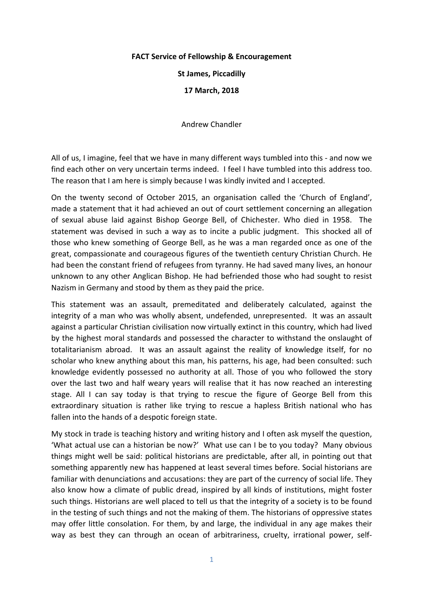## **FACT Service of Fellowship & Encouragement**

**St James, Piccadilly** 

**17 March, 2018**

Andrew Chandler

All of us, I imagine, feel that we have in many different ways tumbled into this - and now we find each other on very uncertain terms indeed. I feel I have tumbled into this address too. The reason that I am here is simply because I was kindly invited and I accepted.

On the twenty second of October 2015, an organisation called the 'Church of England', made a statement that it had achieved an out of court settlement concerning an allegation of sexual abuse laid against Bishop George Bell, of Chichester. Who died in 1958. The statement was devised in such a way as to incite a public judgment. This shocked all of those who knew something of George Bell, as he was a man regarded once as one of the great, compassionate and courageous figures of the twentieth century Christian Church. He had been the constant friend of refugees from tyranny. He had saved many lives, an honour unknown to any other Anglican Bishop. He had befriended those who had sought to resist Nazism in Germany and stood by them as they paid the price.

This statement was an assault, premeditated and deliberately calculated, against the integrity of a man who was wholly absent, undefended, unrepresented. It was an assault against a particular Christian civilisation now virtually extinct in this country, which had lived by the highest moral standards and possessed the character to withstand the onslaught of totalitarianism abroad. It was an assault against the reality of knowledge itself, for no scholar who knew anything about this man, his patterns, his age, had been consulted: such knowledge evidently possessed no authority at all. Those of you who followed the story over the last two and half weary years will realise that it has now reached an interesting stage. All I can say today is that trying to rescue the figure of George Bell from this extraordinary situation is rather like trying to rescue a hapless British national who has fallen into the hands of a despotic foreign state.

My stock in trade is teaching history and writing history and I often ask myself the question, 'What actual use can a historian be now?' What use can I be to you today? Many obvious things might well be said: political historians are predictable, after all, in pointing out that something apparently new has happened at least several times before. Social historians are familiar with denunciations and accusations: they are part of the currency of social life. They also know how a climate of public dread, inspired by all kinds of institutions, might foster such things. Historians are well placed to tell us that the integrity of a society is to be found in the testing of such things and not the making of them. The historians of oppressive states may offer little consolation. For them, by and large, the individual in any age makes their way as best they can through an ocean of arbitrariness, cruelty, irrational power, self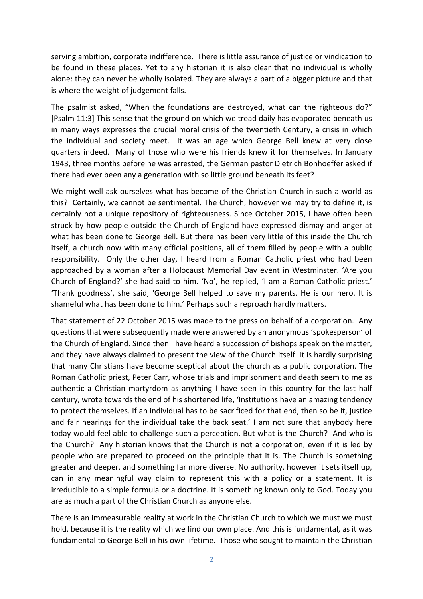serving ambition, corporate indifference. There is little assurance of justice or vindication to be found in these places. Yet to any historian it is also clear that no individual is wholly alone: they can never be wholly isolated. They are always a part of a bigger picture and that is where the weight of judgement falls.

The psalmist asked, "When the foundations are destroyed, what can the righteous do?" [Psalm 11:3] This sense that the ground on which we tread daily has evaporated beneath us in many ways expresses the crucial moral crisis of the twentieth Century, a crisis in which the individual and society meet. It was an age which George Bell knew at very close quarters indeed. Many of those who were his friends knew it for themselves. In January 1943, three months before he was arrested, the German pastor Dietrich Bonhoeffer asked if there had ever been any a generation with so little ground beneath its feet?

We might well ask ourselves what has become of the Christian Church in such a world as this? Certainly, we cannot be sentimental. The Church, however we may try to define it, is certainly not a unique repository of righteousness. Since October 2015, I have often been struck by how people outside the Church of England have expressed dismay and anger at what has been done to George Bell. But there has been very little of this inside the Church itself, a church now with many official positions, all of them filled by people with a public responsibility. Only the other day, I heard from a Roman Catholic priest who had been approached by a woman after a Holocaust Memorial Day event in Westminster. 'Are you Church of England?' she had said to him. 'No', he replied, 'I am a Roman Catholic priest.' 'Thank goodness', she said, 'George Bell helped to save my parents. He is our hero. It is shameful what has been done to him.' Perhaps such a reproach hardly matters.

That statement of 22 October 2015 was made to the press on behalf of a corporation. Any questions that were subsequently made were answered by an anonymous 'spokesperson' of the Church of England. Since then I have heard a succession of bishops speak on the matter, and they have always claimed to present the view of the Church itself. It is hardly surprising that many Christians have become sceptical about the church as a public corporation. The Roman Catholic priest, Peter Carr, whose trials and imprisonment and death seem to me as authentic a Christian martyrdom as anything I have seen in this country for the last half century, wrote towards the end of his shortened life, 'Institutions have an amazing tendency to protect themselves. If an individual has to be sacrificed for that end, then so be it, justice and fair hearings for the individual take the back seat.' I am not sure that anybody here today would feel able to challenge such a perception. But what is the Church? And who is the Church? Any historian knows that the Church is not a corporation, even if it is led by people who are prepared to proceed on the principle that it is. The Church is something greater and deeper, and something far more diverse. No authority, however it sets itself up, can in any meaningful way claim to represent this with a policy or a statement. It is irreducible to a simple formula or a doctrine. It is something known only to God. Today you are as much a part of the Christian Church as anyone else.

There is an immeasurable reality at work in the Christian Church to which we must we must hold, because it is the reality which we find our own place. And this is fundamental, as it was fundamental to George Bell in his own lifetime. Those who sought to maintain the Christian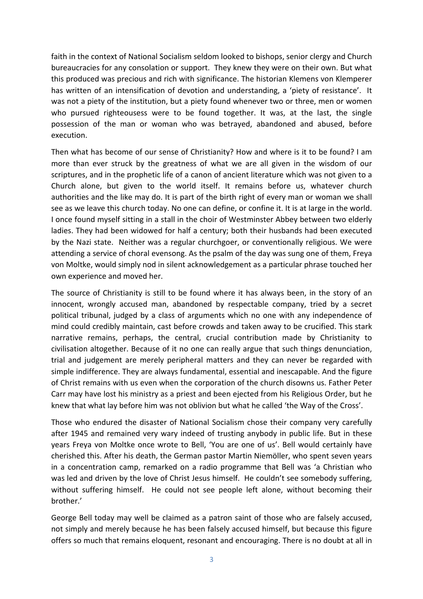faith in the context of National Socialism seldom looked to bishops, senior clergy and Church bureaucracies for any consolation or support. They knew they were on their own. But what this produced was precious and rich with significance. The historian Klemens von Klemperer has written of an intensification of devotion and understanding, a 'piety of resistance'. It was not a piety of the institution, but a piety found whenever two or three, men or women who pursued righteousess were to be found together. It was, at the last, the single possession of the man or woman who was betrayed, abandoned and abused, before execution. 

Then what has become of our sense of Christianity? How and where is it to be found? I am more than ever struck by the greatness of what we are all given in the wisdom of our scriptures, and in the prophetic life of a canon of ancient literature which was not given to a Church alone, but given to the world itself. It remains before us, whatever church authorities and the like may do. It is part of the birth right of every man or woman we shall see as we leave this church today. No one can define, or confine it. It is at large in the world. I once found myself sitting in a stall in the choir of Westminster Abbey between two elderly ladies. They had been widowed for half a century; both their husbands had been executed by the Nazi state. Neither was a regular churchgoer, or conventionally religious. We were attending a service of choral evensong. As the psalm of the day was sung one of them, Freya von Moltke, would simply nod in silent acknowledgement as a particular phrase touched her own experience and moved her.

The source of Christianity is still to be found where it has always been, in the story of an innocent, wrongly accused man, abandoned by respectable company, tried by a secret political tribunal, judged by a class of arguments which no one with any independence of mind could credibly maintain, cast before crowds and taken away to be crucified. This stark narrative remains, perhaps, the central, crucial contribution made by Christianity to civilisation altogether. Because of it no one can really argue that such things denunciation, trial and judgement are merely peripheral matters and they can never be regarded with simple indifference. They are always fundamental, essential and inescapable. And the figure of Christ remains with us even when the corporation of the church disowns us. Father Peter Carr may have lost his ministry as a priest and been ejected from his Religious Order, but he knew that what lay before him was not oblivion but what he called 'the Way of the Cross'.

Those who endured the disaster of National Socialism chose their company very carefully after 1945 and remained very wary indeed of trusting anybody in public life. But in these years Freya von Moltke once wrote to Bell, 'You are one of us'. Bell would certainly have cherished this. After his death, the German pastor Martin Niemöller, who spent seven years in a concentration camp, remarked on a radio programme that Bell was 'a Christian who was led and driven by the love of Christ Jesus himself. He couldn't see somebody suffering, without suffering himself. He could not see people left alone, without becoming their brother.'

George Bell today may well be claimed as a patron saint of those who are falsely accused, not simply and merely because he has been falsely accused himself, but because this figure offers so much that remains eloquent, resonant and encouraging. There is no doubt at all in